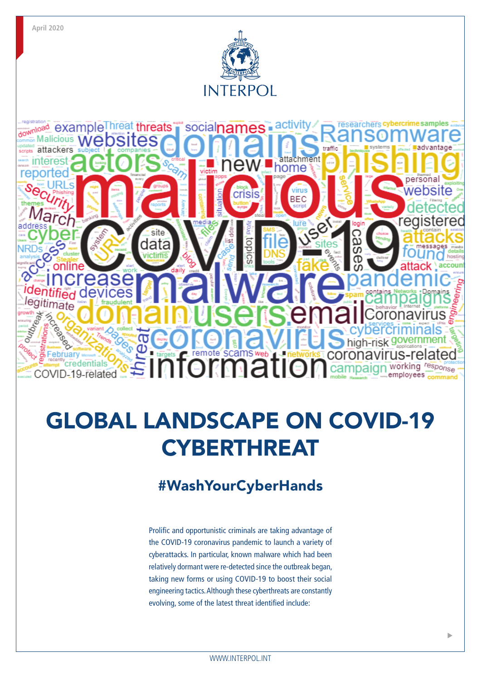

# GLOBAL LANDSCAPE ON COVID-19 **CYBERTHREAT**

# #WashYourCyberHands

Prolific and opportunistic criminals are taking advantage of the COVID-19 coronavirus pandemic to launch a variety of cyberattacks. In particular, known malware which had been relatively dormant were re-detected since the outbreak began, taking new forms or using COVID-19 to boost their social engineering tactics. Although these cyberthreats are constantly evolving, some of the latest threat identified include: